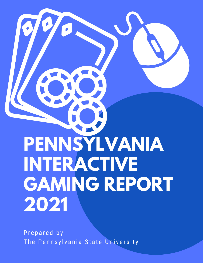# PENNSYLVANIA **INTERACTIVE GAMING REPORT** 2021

Prepared by The Pennsylvania State University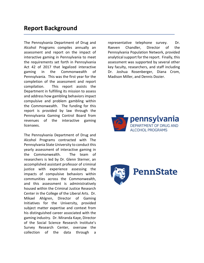The Pennsylvania Department of Drug and Alcohol Programs compiles annually an assessment and report on the impact of interactive gaming in Pennsylvania to meet the requirements set forth in Pennsylvania Act 42 of 2017 that legalized interactive gaming in the Commonwealth of Pennsylvania. This was the first year for the completion of the assessment and report compilation. This report assists the Department in fulfilling its mission to assess and address how gambling behaviors impact compulsive and problem gambling within the Commonwealth. The funding for this report is provided by law through the Pennsylvania Gaming Control Board from revenues of the interactive gaming licensees.

The Pennsylvania Department of Drug and Alcohol Programs contracted with The Pennsylvania State University to conduct this yearly assessment of interactive gaming in the Commonwealth. The team of researchers is led by Dr. Glenn Sterner, an accomplished assistant professor of criminal justice with experience assessing the impacts of compulsive behaviors within communities across the Commonwealth, and this assessment is administratively housed within the Criminal Justice Research Center in the College of the Liberal Arts. Dr. Mikael Ahlgren, Director of Gaming Initiatives for the University, provided subject matter expertise and context from his distinguished career associated with the gaming industry. Dr. Miranda Kaye, Director of the Social Science Research Institute's Survey Research Center, oversaw the collection of the data through a

representative telephone survey. Dr. Raeven Chandler, Director of the Pennsylvania Population Network, provided analytical support for the report. Finally, this assessment was supported by several other key faculty, researchers, and staff including Dr. Joshua Rosenberger, Diana Crom, Madison Miller, and Dennis Dozier.



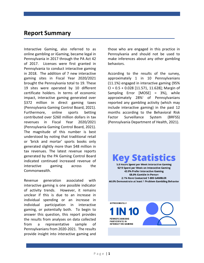## **Report Summary**

Interactive Gaming, also referred to as online gambling or iGaming, became legal in Pennsylvania in 2017 through the PA Act 42 of 2017. Licenses were first granted in Pennsylvania to conduct interactive gaming in 2018. The addition of 7 new interactive gaming sites in Fiscal Year 2020/2021 brought the Pennsylvania total to 19. These 19 sites were operated by 10 different certificate holders. In terms of economic impact, interactive gaming generated over \$372 million in direct gaming taxes (Pennsylvania Gaming Control Board, 2021). Furthermore, online sports betting contributed over \$260 million dollars in tax revenues in Fiscal Year 2020/2021 (Pennsylvania Gaming Control Board, 2021). The magnitude of this number is best understood by noting that traditional retail or 'brick and mortar' sports books only generated slightly more than \$48 million in tax revenues. The latest revenue reports generated by the PA Gaming Control Board indicated continued increased revenue of interactive gaming across the Commonwealth.

Revenue generation associated with interactive gaming is one possible indicator of activity trends. However, it remains unclear if this is due to an increase in individual spending or an increase in individual participation in interactive gaming, or potentially both. To begin to answer this question, this report provides the results from analyses on data collected from a representative sample of Pennsylvanians from 2020-2021. The results provide insight into interactive gaming and

those who are engaged in this practice in Pennsylvania and should not be used to make inferences about any other gambling behaviors.

According to the results of the survey, approximately 1 in 10 Pennsylvanians (11.1%) engaged in interactive gaming (95%  $CI = 0.5 + 0.028$  [11.571, 11.628]; Margin of Sampling Error [MOSE] = 3%), while approximately 28%[i](#page-11-0) of Pennsylvanians reported any gambling activity (which may include interactive gaming) in the past 12 months according to the Behavioral Risk Factor Surveillance System (BRFSS) (Pennsylvania Department of Health, 2021).

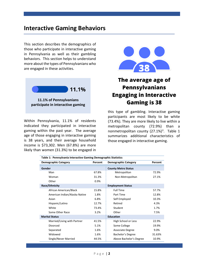## **Interactive Gaming Behaviors**

This section describes the demographics of those who participate in interactive gaming in Pennsylvania as well as their gambling behaviors. This section helps to understand more about the types of Pennsylvanians who are engaged in these activities.



Within Pennsylvania, 11.1% of residents indicated they participated in interactive gaming within the past year. The average age of those engaging in interactive gaming is 38 years, and their average household income is \$73,302. Men (67.8%) are more likely than women (31.3%) to be engaged in



# The average age of **Pennsylvanians Engaging in Interactive Gaming is 38**

this type of gambling. Interactive gaming participants are most likely to be white (73.4%). They are more likely to live within a metropolitan county (72.9%) than a nonmetropolitan county (27.1%)<sup>[ii](#page-11-1)</sup>. Table 1 summarizes additional characteristics of those engaged in interactive gaming.

| Table 1: Pennsylvania Interactive Gaming Demographic Statistics |         |                             |         |  |
|-----------------------------------------------------------------|---------|-----------------------------|---------|--|
| <b>Demographic Category</b>                                     | Percent | <b>Demographic Category</b> | Percent |  |
| Gender                                                          |         | <b>County Metro Status</b>  |         |  |
| Man                                                             | 67.8%   | Metropolitan                | 72.9%   |  |
| Woman                                                           | 31.3%   | Non-Metropolitan            | 27.1%   |  |
| Other                                                           | 0.9%    |                             |         |  |
| Race/Ethnicity                                                  |         | <b>Employment Status</b>    |         |  |
| African American/Black                                          | 15.8%   | <b>Full Time</b>            | 57.7%   |  |
| American Indian/Alaska Native                                   | 1.8%    | Part Time                   | 12.8%   |  |
| Asian                                                           | 6.8%    | Self Employed               | 10.3%   |  |
| Hispanic/Latino                                                 | 12.7%   | Retired                     | 4.3%    |  |
| White                                                           | 73.4%   | Student                     | 1.7%    |  |
| Some Other Race                                                 | 3.2%    | Other                       | 7.5%    |  |
| <b>Marital Status</b>                                           |         | <b>Education</b>            |         |  |
| Married/Living with Partner                                     | 41.5%   | High School or Less         | 22.9%   |  |
| Divorced                                                        | 5.1%    | Some College                | 19.9%   |  |
| Separated                                                       | 1.6%    | Associate Degree            | 9.0%    |  |
| Widowed                                                         | 1.6%    | Bachelor's Degree           | 31.63%  |  |
| Single/Never Married                                            | 44.5%   | Above Bachelor's Degree     | 10.9%   |  |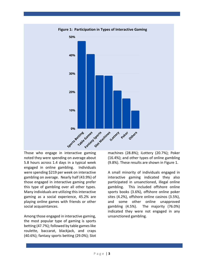

Those who engage in interactive gaming noted they were spending on average about 5.8 hours across 1.4 days in a typical week engaged in online gambling. Individuals were spending \$219 per week on interactive gambling on average. Nearly half (43.9%) of those engaged in interactive gaming prefer this type of gambling over all other types. Many individuals are utilizing this interactive gaming as a social experience, 45.2% are playing online games with friends or other social acquaintances.

Among those engaged in interactive gaming, the most popular type of gaming is sports betting (47.7%); followed by table games like roulette, baccarat, blackjack, and craps (40.6%); fantasy sports betting (29.0%); Slot machines (28.8%); iLottery (20.7%); Poker (16.4%); and other types of online gambling (9.8%). These results are shown in Figure 1.

A small minority of individuals engaged in interactive gaming indicated they also participated in unsanctioned, illegal online gambling. This included offshore online sports books (3.6%), offshore online poker sites (4.2%), offshore online casinos (3.5%), and some other online unapproved gambling (4.5%). The majority (76.0%) indicated they were not engaged in any unsanctioned gambling.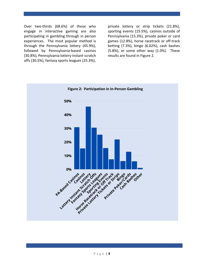Over two-thirds (68.6%) of those who engage in interactive gaming are also participating in gambling through in person experiences. The most popular method is through the Pennsylvania lottery (45.9%), followed by Pennsylvania-based casinos (30.8%), Pennsylvania lottery instant scratch offs (30.5%), fantasy sports leagues (25.3%),

private lottery or strip tickets (21.8%), sporting events (15.5%), casinos outside of Pennsylvania (15.3%), private poker or card games (12.8%), horse racetrack or off-track betting (7.3%), bingo (6.02%), cash bashes (5.8%), or some other way (1.0%). These results are found in Figure 2.

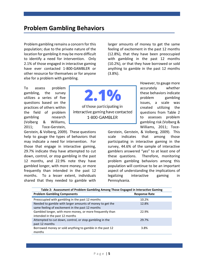## **Problem Gambling Behaviors**

Problem gambling remains a concern for this population; due to the private nature of the location for gambling it may be more difficult to identify a need for intervention. Only 2.1% of those engaged in interactive gaming have ever contacted 1-800-GAMBLER or other resource for themselves or for anyone else for a problem with gambling.

To assess problem gambling, the survey utilizes a series of five questions based on the practices of others within the field of problem gambling research (Volberg & Williams, 2011; Toce-Gerstein,

Gerstein, & Volberg, 2009). These questions help to gauge the types of behaviors that may indicate a need for intervention. For those that engage in interactive gaming, 29.7% indicate they have attempted to cut down, control, or stop gambling in the past 12 months, and 22.9% note they have gambled longer, with more money, or more frequently than intended in the past 12 months. To a lesser extent, individuals shared that they needed to gamble with

2.1% of those participating in interactive gaming have contacted 1-800-GAMBLER

larger amounts of money to get the same feeling of excitement in the past 12 months (12.8%), that they have been preoccupied with gambling in the past 12 months (10.2%), or that they have borrowed or sold anything to gamble in the past 12 months (3.8%).

> However, to gauge more accurately whether these behaviors indicate problem gambling issues, a scale was created utilizing the questions from Table 2 to assesses problem gambling risk (Volberg & Williams, 2011; Toce-

Gerstein, Gerstein, & Volberg, 2009). This scale indicates that among those participating in interactive gaming in the survey, 44.6% of the sample of interactive gamblers answered "yes" to at least one of these questions. Therefore, monitoring problem gambling behaviors among this population will continue to be an important aspect of understanding the implications of legalizing interactive gaming in Pennsylvania.

| Table 2: Assessment of Problem Gambling Among Those Engaged in Interactive Gaming |                      |  |  |  |
|-----------------------------------------------------------------------------------|----------------------|--|--|--|
| <b>Problem Gambling Components</b>                                                | <b>Response Rate</b> |  |  |  |
| Preoccupied with gambling in the past 12 months                                   | 10.2%                |  |  |  |
| Needed to gamble with larger amounts of money to get the                          | 12.8%                |  |  |  |
| same feeling of excitement in the past 12 months                                  |                      |  |  |  |
| Gambled longer, with more money, or more frequently than                          | 22.9%                |  |  |  |
| intended in the past 12 months                                                    |                      |  |  |  |
| Attempted to cut down, control, or stop gambling in the                           | 29.7%                |  |  |  |
| past 12 months                                                                    |                      |  |  |  |
| Borrowed money or sold anything to gamble in the past 12                          | 3.8%                 |  |  |  |
| months                                                                            |                      |  |  |  |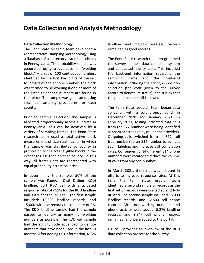#### **Data Collection Methodology**

The Penn State research team developed a representative sampling methodology using a database of all directory-listed households in Pennsylvania. The probability sample was generated using a database of "working blocks" – a set of 100 contiguous numbers identified by the first two digits of the last four digits of a telephone number. The block was termed to be working if one or more of the listed telephone numbers are found in that block. The sample was generated using stratified sampling procedures for each county.

Prior to sample selection, the sample is allocated proportionally across all strata in Pennsylvania. This can be achieved by a variety of sampling frames. The Penn State research team used a total active block measurement of size stratification in which the sample was distributed by county in proportion to the total eligible blocks in the exchanges assigned to that county. In this way, all frame units are represented with equal probability across counties.

In determining the sample, 50% of the sample was Random Digit Dialing (RDD) landline; 50% RDD cell with anticipated response rates of <15% for the RDD landline and <10% for the RDD cell. The first sample included: 12,500 landline records, and 15,000 wireless records for the state of PA. The RDD landline sample had the sample passed to identify as many non-working numbers as possible. The RDD cell sample had the activity code appended to denote numbers that have been used in the last 10 months. After adding this information, 4,726

landline and 12,227 wireless records remained as good records.

The Penn State research team programmed the survey in their data collection system and conducted fidelity tests. This included the back-end information regarding the sampling frame and the front-end information including the script, disposition selection (the code given to the survey record to denote its status), and survey that the phone center staff followed.

The Penn State research team began data collection with a soft project launch in December 2020 and January 2021. In February 2021, testing indicated that calls from the 877 number were being identified as spam or screened by cell phone providers. Outgoing calls switched from an 877 (toll free number) to an 814 number to combat spam labeling and increase call completion rates. Consequently, 34 different 814 phone numbers were rotated to reduce the volume of calls from any one number.

In March 2021, the script was adapted in efforts to increase response rates. At this time, the Penn State research team identified a second sample of records as the first set of records were contacted and fully utilized. The second sample included 15,000 landline records, and 12,500 cell phone records. After non-working numbers and phone activity were added, 5,276 landline records, and 9,847 cell phone records remained, and were added to the portal.

Figure 3 provides an overview of the RDD data collection process for the survey.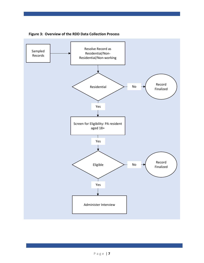

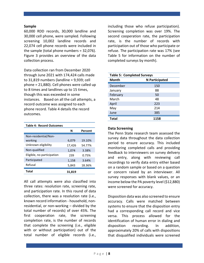#### **Sample**

60,000 RDD records, 30,000 landline and 30,000 cell phone, were sampled. Following screening 10,002 landline records and 22,074 cell phone records were included in the sample (total phone numbers = 32,076). Figure 3 provides an overview of the data collection process.

Data collection ran from December 2020 through June 2021 with 174,424 calls made to 31,819 numbers (landline = 9,939; cell phone = 21,880). Cell phones were called up to 8 times and landlines up to 15 times, though this was exceeded in some instances. Based on all the call attempts, a record outcome was assigned to each phone record. Table 4 details the record outcomes.

| <b>Table 4: Record Outcomes</b> |        |         |  |
|---------------------------------|--------|---------|--|
|                                 | N      | Percent |  |
| Non-residential/Non-            |        |         |  |
| working                         | 6,079  | 19.10%  |  |
| Unknown eligibility             | 17,426 | 54.77%  |  |
| Non-qualified                   | 1,074  | 3.38%   |  |
| Eligible, no participation      | 239    | 0.75%   |  |
| Participated                    | 1,158  | 3.64%   |  |
| Refusal                         | 5,843  | 18.36%  |  |
| <b>Total</b>                    | 31,819 |         |  |

All call attempts were also classified into three rates: resolution rate, screening rate, and participation rate. In this round of data collection, there was a resolution rate (i.e., known record information - household, nonresidential, or non-working – divided by the total number of records) of over 45%. The first cooperation rate, the screening completion rate, is the number of records that complete the screening (i.e., eligible with or without participation) out of the total number of eligible records (i.e.,

including those who refuse participation). Screening completion was over 19%. The second cooperation rate, the participation rate, is the number of records with participation out of those who participate or refuse. The participation rate was 17% (see Table 5 for information on the number of completed surveys by month).

| <b>Table 5: Completed Surveys</b> |                |  |
|-----------------------------------|----------------|--|
| Month                             | N Participated |  |
| December                          | 150            |  |
| January                           | 88             |  |
| February                          | 50             |  |
| March                             | 48             |  |
| April                             | 223            |  |
| May                               | 214            |  |
| June                              | 385            |  |
| <b>Total</b>                      | 1158           |  |

#### **Data Screening**

The Penn State research team assessed the survey data throughout the data collection period to ensure accuracy. This included monitoring completed calls and providing feedback to interviewers on survey delivery and entry, along with reviewing call recordings to verify data entry either based on a random sample or based on a question or concern raised by an interviewer. All survey responses with blank values, or an income below the PA poverty level (\$12,880) were screened for accuracy.

Disposition data was also screened to ensure accuracy. Calls were matched between systems to ensure that the disposition entry had a corresponding call record and vice versa. This process allowed for the identification of human error in dialing and disposition recording. In addition, approximately 20% of calls with dispositions that disqualified individuals were screened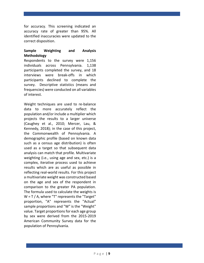for accuracy. This screening indicated an accuracy rate of greater than 95%. All identified inaccuracies were updated to the correct disposition.

#### **Sample Weighting and Analysis Methodology**

Respondents to the survey were 1,156 individuals across Pennsylvania. 1,138 participants completed the survey, and 18 interviews were break-offs in which participants declined to complete the survey. Descriptive statistics (means and frequencies) were conducted on all variables of interest.

Weight techniques are used to re-balance data to more accurately reflect the population and/or include a multiplier which projects the results to a larger universe (Caughey et al., 2010; Mercer, Lau, & Kennedy, 2018); in the case of this project, the Commonwealth of Pennsylvania. A demographic profile (based on known data such as a census age distribution) is often used as a target so that subsequent data analysis can match that profile. Multivariate weighting (i.e., using age and sex, etc.) is a complex, iterative process used to achieve results which are as useful as possible in reflecting real-world results. For this project a multivariate weight was constructed based on the age and sex of the respondent in comparison to the greater PA population. The formula used to calculate the weights is W = T / A, where "T" represents the "Target" proportion, "A" represents the "Actual" sample proportions and "W" is the "Weight" value. Target proportions for each age group by sex were derived from the 2015-2019 American Community Survey data for the population of Pennsylvania.